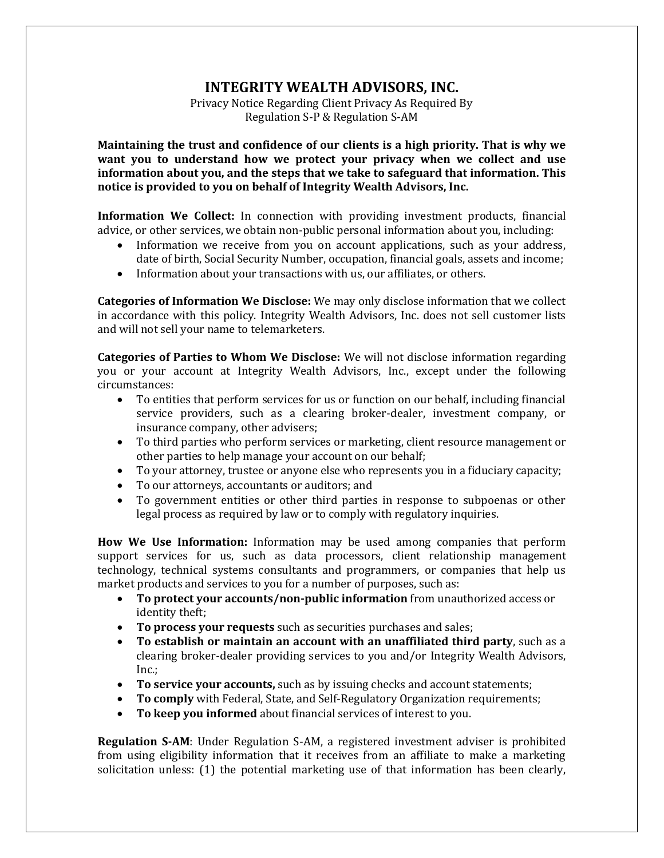## **INTEGRITY WEALTH ADVISORS, INC.**

Privacy Notice Regarding Client Privacy As Required By Regulation S-P & Regulation S-AM

**Maintaining the trust and confidence of our clients is a high priority. That is why we want you to understand how we protect your privacy when we collect and use information about you, and the steps that we take to safeguard that information. This notice is provided to you on behalf of Integrity Wealth Advisors, Inc.**

**Information We Collect:** In connection with providing investment products, financial advice, or other services, we obtain non-public personal information about you, including:

- Information we receive from you on account applications, such as your address, date of birth, Social Security Number, occupation, financial goals, assets and income;
- Information about your transactions with us, our affiliates, or others.

**Categories of Information We Disclose:** We may only disclose information that we collect in accordance with this policy. Integrity Wealth Advisors, Inc. does not sell customer lists and will not sell your name to telemarketers.

**Categories of Parties to Whom We Disclose:** We will not disclose information regarding you or your account at Integrity Wealth Advisors, Inc., except under the following circumstances:

- To entities that perform services for us or function on our behalf, including financial service providers, such as a clearing broker-dealer, investment company, or insurance company, other advisers;
- To third parties who perform services or marketing, client resource management or other parties to help manage your account on our behalf;
- To your attorney, trustee or anyone else who represents you in a fiduciary capacity;
- To our attorneys, accountants or auditors; and
- To government entities or other third parties in response to subpoenas or other legal process as required by law or to comply with regulatory inquiries.

**How We Use Information:** Information may be used among companies that perform support services for us, such as data processors, client relationship management technology, technical systems consultants and programmers, or companies that help us market products and services to you for a number of purposes, such as:

- **To protect your accounts/non-public information** from unauthorized access or identity theft;
- **To process your requests** such as securities purchases and sales;
- **To establish or maintain an account with an unaffiliated third party**, such as a clearing broker-dealer providing services to you and/or Integrity Wealth Advisors, Inc.;
- **To service your accounts,** such as by issuing checks and account statements;
- **To comply** with Federal, State, and Self-Regulatory Organization requirements;
- **To keep you informed** about financial services of interest to you.

**Regulation S-AM**: Under Regulation S-AM, a registered investment adviser is prohibited from using eligibility information that it receives from an affiliate to make a marketing solicitation unless: (1) the potential marketing use of that information has been clearly,